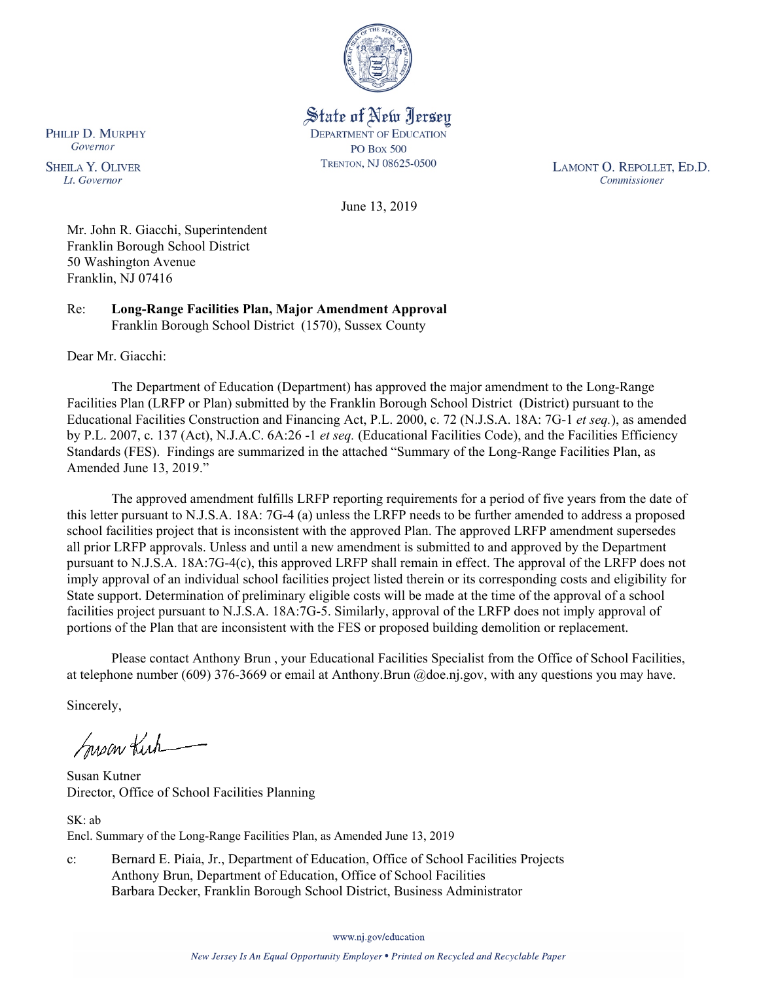

State of New Jersey **DEPARTMENT OF EDUCATION PO Box 500** TRENTON, NJ 08625-0500

LAMONT O. REPOLLET, ED.D. Commissioner

June 13, 2019

Mr. John R. Giacchi, Superintendent Franklin Borough School District 50 Washington Avenue Franklin, NJ 07416

Re: **Long-Range Facilities Plan, Major Amendment Approval** Franklin Borough School District (1570), Sussex County

Dear Mr. Giacchi:

The Department of Education (Department) has approved the major amendment to the Long-Range Facilities Plan (LRFP or Plan) submitted by the Franklin Borough School District (District) pursuant to the Educational Facilities Construction and Financing Act, P.L. 2000, c. 72 (N.J.S.A. 18A: 7G-1 *et seq.*), as amended by P.L. 2007, c. 137 (Act), N.J.A.C. 6A:26 -1 *et seq.* (Educational Facilities Code), and the Facilities Efficiency Standards (FES). Findings are summarized in the attached "Summary of the Long-Range Facilities Plan, as Amended June 13, 2019."

The approved amendment fulfills LRFP reporting requirements for a period of five years from the date of this letter pursuant to N.J.S.A. 18A: 7G-4 (a) unless the LRFP needs to be further amended to address a proposed school facilities project that is inconsistent with the approved Plan. The approved LRFP amendment supersedes all prior LRFP approvals. Unless and until a new amendment is submitted to and approved by the Department pursuant to N.J.S.A. 18A:7G-4(c), this approved LRFP shall remain in effect. The approval of the LRFP does not imply approval of an individual school facilities project listed therein or its corresponding costs and eligibility for State support. Determination of preliminary eligible costs will be made at the time of the approval of a school facilities project pursuant to N.J.S.A. 18A:7G-5. Similarly, approval of the LRFP does not imply approval of portions of the Plan that are inconsistent with the FES or proposed building demolition or replacement.

Please contact Anthony Brun , your Educational Facilities Specialist from the Office of School Facilities, at telephone number (609) 376-3669 or email at Anthony.Brun @doe.nj.gov, with any questions you may have.

Sincerely,

Susan Kich

Susan Kutner Director, Office of School Facilities Planning

SK: ab Encl. Summary of the Long-Range Facilities Plan, as Amended June 13, 2019

c: Bernard E. Piaia, Jr., Department of Education, Office of School Facilities Projects Anthony Brun, Department of Education, Office of School Facilities Barbara Decker, Franklin Borough School District, Business Administrator

www.nj.gov/education

PHILIP D. MURPHY Governor

**SHEILA Y. OLIVER** Lt. Governor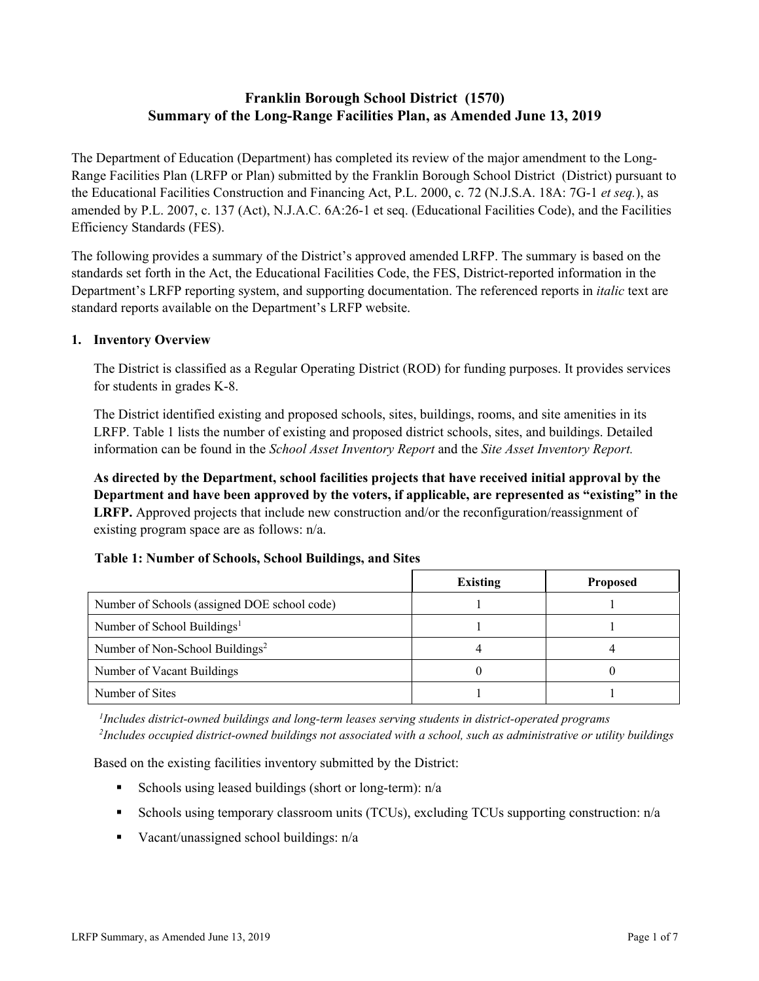# **Franklin Borough School District (1570) Summary of the Long-Range Facilities Plan, as Amended June 13, 2019**

The Department of Education (Department) has completed its review of the major amendment to the Long-Range Facilities Plan (LRFP or Plan) submitted by the Franklin Borough School District (District) pursuant to the Educational Facilities Construction and Financing Act, P.L. 2000, c. 72 (N.J.S.A. 18A: 7G-1 *et seq.*), as amended by P.L. 2007, c. 137 (Act), N.J.A.C. 6A:26-1 et seq. (Educational Facilities Code), and the Facilities Efficiency Standards (FES).

The following provides a summary of the District's approved amended LRFP. The summary is based on the standards set forth in the Act, the Educational Facilities Code, the FES, District-reported information in the Department's LRFP reporting system, and supporting documentation. The referenced reports in *italic* text are standard reports available on the Department's LRFP website.

### **1. Inventory Overview**

The District is classified as a Regular Operating District (ROD) for funding purposes. It provides services for students in grades K-8.

The District identified existing and proposed schools, sites, buildings, rooms, and site amenities in its LRFP. Table 1 lists the number of existing and proposed district schools, sites, and buildings. Detailed information can be found in the *School Asset Inventory Report* and the *Site Asset Inventory Report.*

**As directed by the Department, school facilities projects that have received initial approval by the Department and have been approved by the voters, if applicable, are represented as "existing" in the LRFP.** Approved projects that include new construction and/or the reconfiguration/reassignment of existing program space are as follows: n/a.

### **Table 1: Number of Schools, School Buildings, and Sites**

|                                              | <b>Existing</b> | <b>Proposed</b> |
|----------------------------------------------|-----------------|-----------------|
| Number of Schools (assigned DOE school code) |                 |                 |
| Number of School Buildings <sup>1</sup>      |                 |                 |
| Number of Non-School Buildings <sup>2</sup>  |                 |                 |
| Number of Vacant Buildings                   |                 |                 |
| Number of Sites                              |                 |                 |

*1 Includes district-owned buildings and long-term leases serving students in district-operated programs 2 Includes occupied district-owned buildings not associated with a school, such as administrative or utility buildings*

Based on the existing facilities inventory submitted by the District:

- Schools using leased buildings (short or long-term):  $n/a$
- Schools using temporary classroom units (TCUs), excluding TCUs supporting construction: n/a
- Vacant/unassigned school buildings:  $n/a$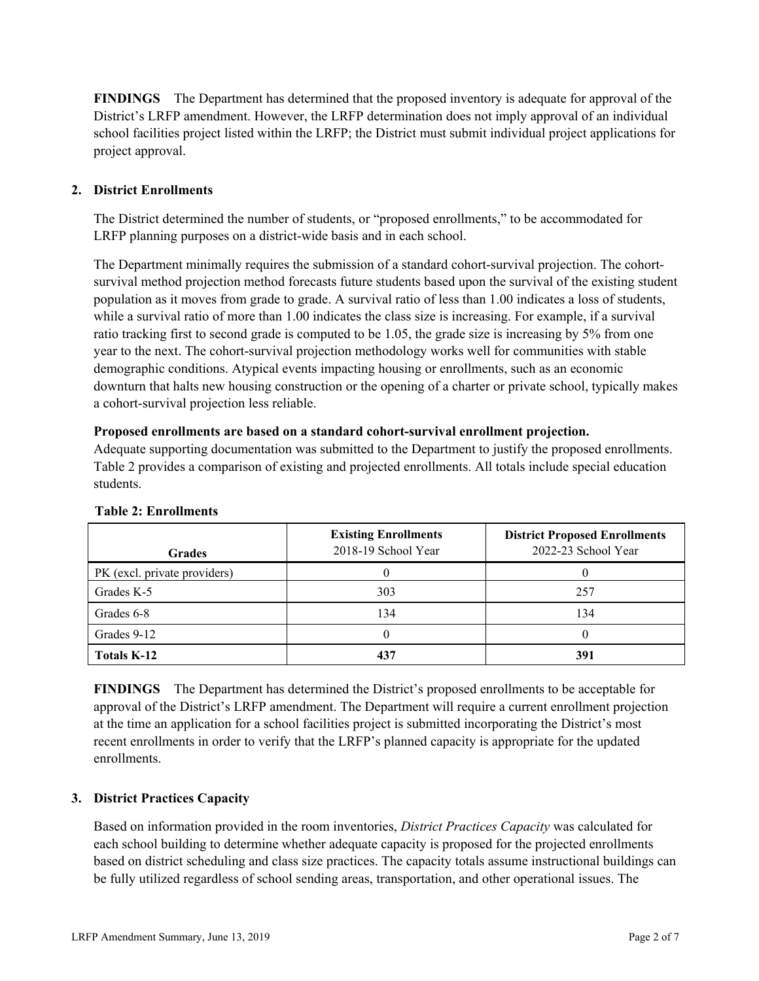**FINDINGS** The Department has determined that the proposed inventory is adequate for approval of the District's LRFP amendment. However, the LRFP determination does not imply approval of an individual school facilities project listed within the LRFP; the District must submit individual project applications for project approval.

## **2. District Enrollments**

The District determined the number of students, or "proposed enrollments," to be accommodated for LRFP planning purposes on a district-wide basis and in each school.

The Department minimally requires the submission of a standard cohort-survival projection. The cohortsurvival method projection method forecasts future students based upon the survival of the existing student population as it moves from grade to grade. A survival ratio of less than 1.00 indicates a loss of students, while a survival ratio of more than 1.00 indicates the class size is increasing. For example, if a survival ratio tracking first to second grade is computed to be 1.05, the grade size is increasing by 5% from one year to the next. The cohort-survival projection methodology works well for communities with stable demographic conditions. Atypical events impacting housing or enrollments, such as an economic downturn that halts new housing construction or the opening of a charter or private school, typically makes a cohort-survival projection less reliable.

#### **Proposed enrollments are based on a standard cohort-survival enrollment projection.**

Adequate supporting documentation was submitted to the Department to justify the proposed enrollments. Table 2 provides a comparison of existing and projected enrollments. All totals include special education students.

| <b>Grades</b>                | <b>Existing Enrollments</b><br>2018-19 School Year | <b>District Proposed Enrollments</b><br>2022-23 School Year |
|------------------------------|----------------------------------------------------|-------------------------------------------------------------|
| PK (excl. private providers) |                                                    |                                                             |
| Grades K-5                   | 303                                                | 257                                                         |
| Grades 6-8                   | 134                                                | 134                                                         |
| Grades 9-12                  |                                                    |                                                             |
| <b>Totals K-12</b>           |                                                    | 391                                                         |

#### **Table 2: Enrollments**

**FINDINGS** The Department has determined the District's proposed enrollments to be acceptable for approval of the District's LRFP amendment. The Department will require a current enrollment projection at the time an application for a school facilities project is submitted incorporating the District's most recent enrollments in order to verify that the LRFP's planned capacity is appropriate for the updated enrollments.

## **3. District Practices Capacity**

Based on information provided in the room inventories, *District Practices Capacity* was calculated for each school building to determine whether adequate capacity is proposed for the projected enrollments based on district scheduling and class size practices. The capacity totals assume instructional buildings can be fully utilized regardless of school sending areas, transportation, and other operational issues. The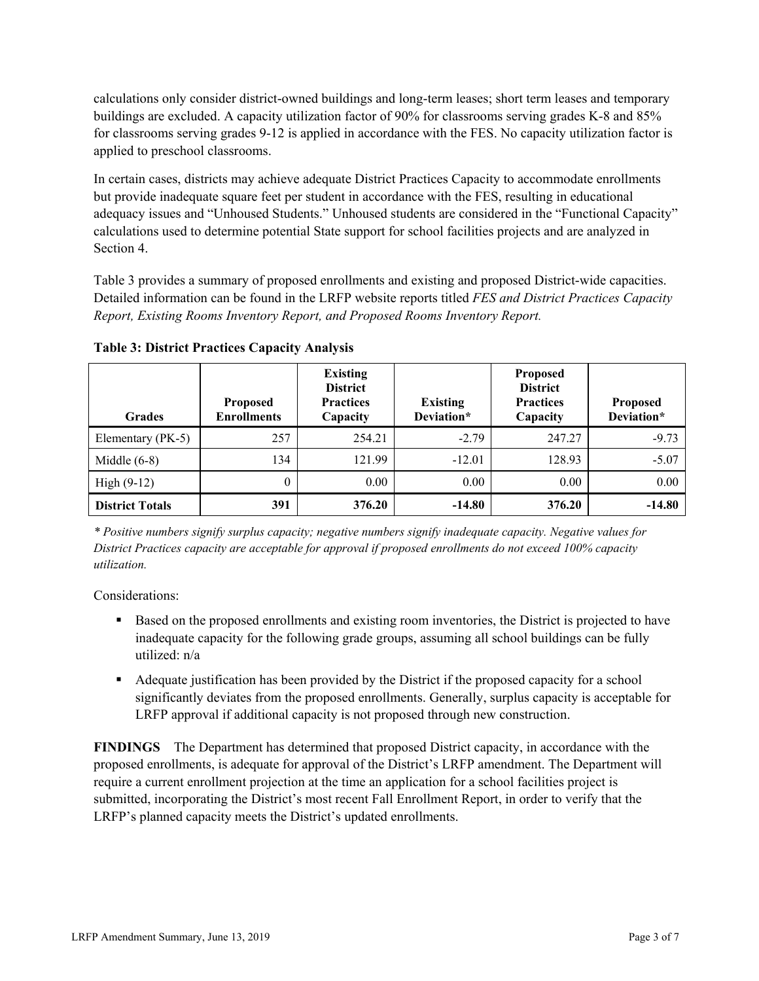calculations only consider district-owned buildings and long-term leases; short term leases and temporary buildings are excluded. A capacity utilization factor of 90% for classrooms serving grades K-8 and 85% for classrooms serving grades 9-12 is applied in accordance with the FES. No capacity utilization factor is applied to preschool classrooms.

In certain cases, districts may achieve adequate District Practices Capacity to accommodate enrollments but provide inadequate square feet per student in accordance with the FES, resulting in educational adequacy issues and "Unhoused Students." Unhoused students are considered in the "Functional Capacity" calculations used to determine potential State support for school facilities projects and are analyzed in Section 4.

Table 3 provides a summary of proposed enrollments and existing and proposed District-wide capacities. Detailed information can be found in the LRFP website reports titled *FES and District Practices Capacity Report, Existing Rooms Inventory Report, and Proposed Rooms Inventory Report.*

| <b>Grades</b>          | <b>Proposed</b><br><b>Enrollments</b> | <b>Existing</b><br><b>District</b><br><b>Practices</b><br>Capacity | <b>Existing</b><br>Deviation* | <b>Proposed</b><br><b>District</b><br><b>Practices</b><br>Capacity | <b>Proposed</b><br>Deviation* |
|------------------------|---------------------------------------|--------------------------------------------------------------------|-------------------------------|--------------------------------------------------------------------|-------------------------------|
| Elementary (PK-5)      | 257                                   | 254.21                                                             | $-2.79$                       | 247.27                                                             | $-9.73$                       |
| Middle $(6-8)$         | 134                                   | 121.99                                                             | $-12.01$                      | 128.93                                                             | $-5.07$                       |
| High $(9-12)$          | $\theta$                              | 0.00                                                               | 0.00                          | 0.00                                                               | 0.00                          |
| <b>District Totals</b> | 391                                   | 376.20                                                             | $-14.80$                      | 376.20                                                             | $-14.80$                      |

**Table 3: District Practices Capacity Analysis**

*\* Positive numbers signify surplus capacity; negative numbers signify inadequate capacity. Negative values for District Practices capacity are acceptable for approval if proposed enrollments do not exceed 100% capacity utilization.*

Considerations:

- Based on the proposed enrollments and existing room inventories, the District is projected to have inadequate capacity for the following grade groups, assuming all school buildings can be fully utilized: n/a
- Adequate justification has been provided by the District if the proposed capacity for a school significantly deviates from the proposed enrollments. Generally, surplus capacity is acceptable for LRFP approval if additional capacity is not proposed through new construction.

**FINDINGS**The Department has determined that proposed District capacity, in accordance with the proposed enrollments, is adequate for approval of the District's LRFP amendment. The Department will require a current enrollment projection at the time an application for a school facilities project is submitted, incorporating the District's most recent Fall Enrollment Report, in order to verify that the LRFP's planned capacity meets the District's updated enrollments.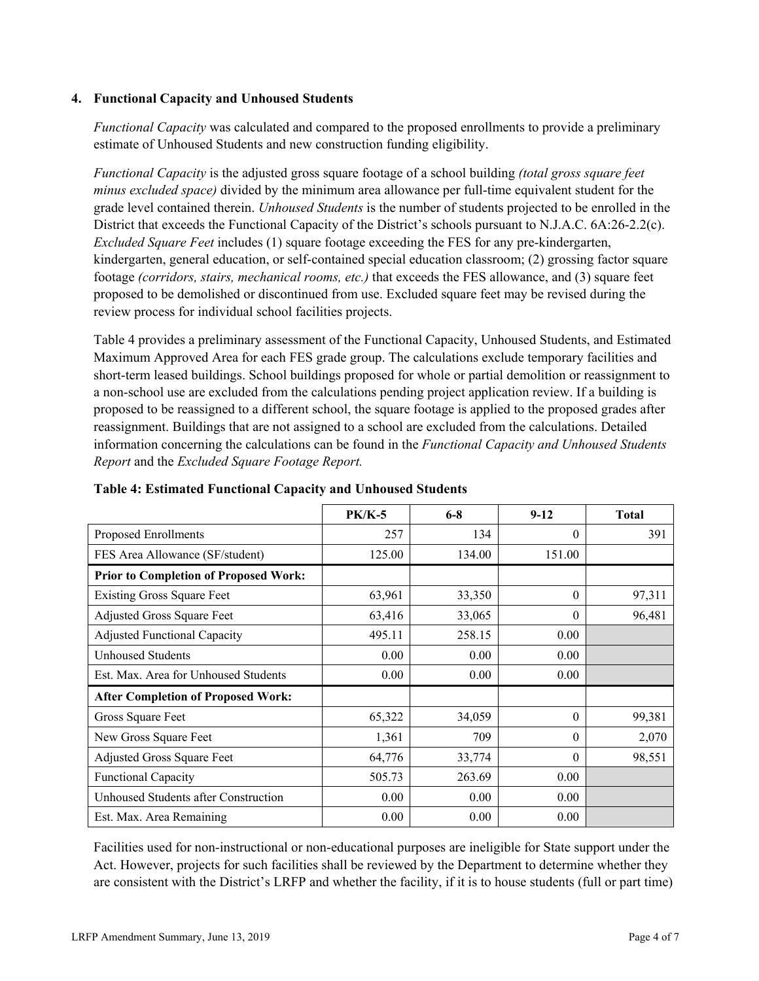## **4. Functional Capacity and Unhoused Students**

*Functional Capacity* was calculated and compared to the proposed enrollments to provide a preliminary estimate of Unhoused Students and new construction funding eligibility.

*Functional Capacity* is the adjusted gross square footage of a school building *(total gross square feet minus excluded space)* divided by the minimum area allowance per full-time equivalent student for the grade level contained therein. *Unhoused Students* is the number of students projected to be enrolled in the District that exceeds the Functional Capacity of the District's schools pursuant to N.J.A.C. 6A:26-2.2(c). *Excluded Square Feet* includes (1) square footage exceeding the FES for any pre-kindergarten, kindergarten, general education, or self-contained special education classroom; (2) grossing factor square footage *(corridors, stairs, mechanical rooms, etc.)* that exceeds the FES allowance, and (3) square feet proposed to be demolished or discontinued from use. Excluded square feet may be revised during the review process for individual school facilities projects.

Table 4 provides a preliminary assessment of the Functional Capacity, Unhoused Students, and Estimated Maximum Approved Area for each FES grade group. The calculations exclude temporary facilities and short-term leased buildings. School buildings proposed for whole or partial demolition or reassignment to a non-school use are excluded from the calculations pending project application review. If a building is proposed to be reassigned to a different school, the square footage is applied to the proposed grades after reassignment. Buildings that are not assigned to a school are excluded from the calculations. Detailed information concerning the calculations can be found in the *Functional Capacity and Unhoused Students Report* and the *Excluded Square Footage Report.*

|                                              | <b>PK/K-5</b> | $6 - 8$ | $9 - 12$ | <b>Total</b> |
|----------------------------------------------|---------------|---------|----------|--------------|
| Proposed Enrollments                         | 257           | 134     | $\theta$ | 391          |
| FES Area Allowance (SF/student)              | 125.00        | 134.00  | 151.00   |              |
| <b>Prior to Completion of Proposed Work:</b> |               |         |          |              |
| <b>Existing Gross Square Feet</b>            | 63,961        | 33,350  | $\theta$ | 97,311       |
| Adjusted Gross Square Feet                   | 63,416        | 33,065  | $\theta$ | 96,481       |
| <b>Adjusted Functional Capacity</b>          | 495.11        | 258.15  | 0.00     |              |
| Unhoused Students                            | 0.00          | 0.00    | 0.00     |              |
| Est. Max. Area for Unhoused Students         | 0.00          | 0.00    | $0.00\,$ |              |
| <b>After Completion of Proposed Work:</b>    |               |         |          |              |
| Gross Square Feet                            | 65,322        | 34,059  | $\theta$ | 99,381       |
| New Gross Square Feet                        | 1,361         | 709     | $\Omega$ | 2,070        |
| Adjusted Gross Square Feet                   | 64,776        | 33,774  | $\theta$ | 98,551       |
| <b>Functional Capacity</b>                   | 505.73        | 263.69  | 0.00     |              |
| Unhoused Students after Construction         | 0.00          | 0.00    | 0.00     |              |
| Est. Max. Area Remaining                     | 0.00          | 0.00    | 0.00     |              |

**Table 4: Estimated Functional Capacity and Unhoused Students** 

Facilities used for non-instructional or non-educational purposes are ineligible for State support under the Act. However, projects for such facilities shall be reviewed by the Department to determine whether they are consistent with the District's LRFP and whether the facility, if it is to house students (full or part time)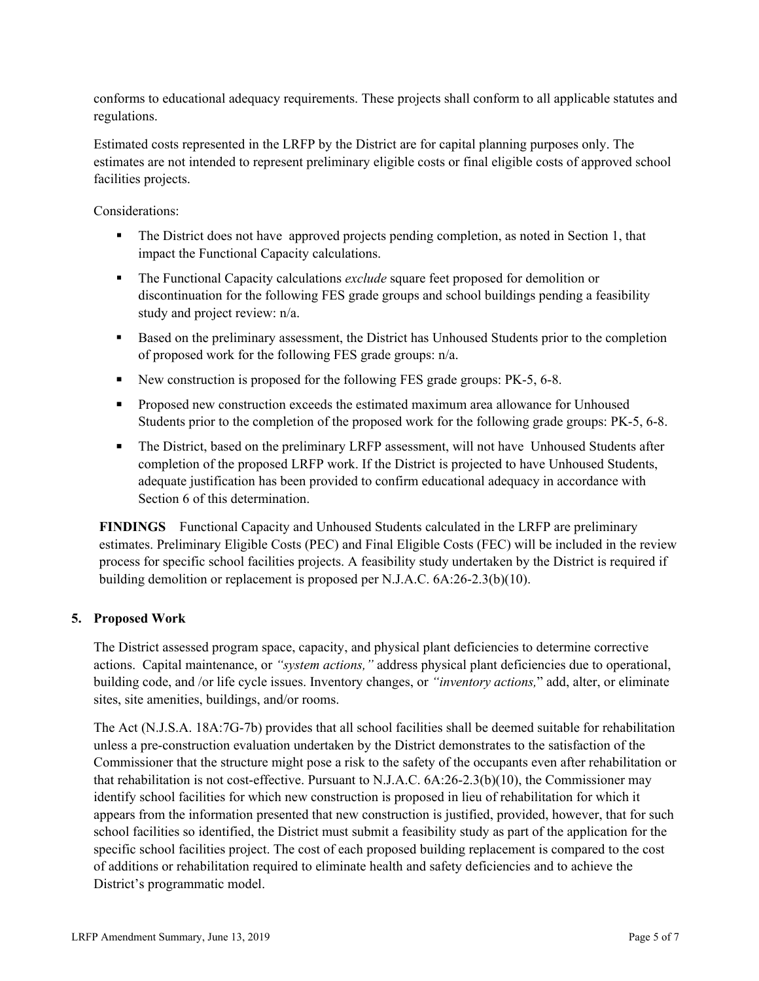conforms to educational adequacy requirements. These projects shall conform to all applicable statutes and regulations.

Estimated costs represented in the LRFP by the District are for capital planning purposes only. The estimates are not intended to represent preliminary eligible costs or final eligible costs of approved school facilities projects.

Considerations:

- The District does not have approved projects pending completion, as noted in Section 1, that impact the Functional Capacity calculations.
- **The Functional Capacity calculations** *exclude* square feet proposed for demolition or discontinuation for the following FES grade groups and school buildings pending a feasibility study and project review: n/a.
- Based on the preliminary assessment, the District has Unhoused Students prior to the completion of proposed work for the following FES grade groups: n/a.
- New construction is proposed for the following FES grade groups: PK-5, 6-8.
- **Proposed new construction exceeds the estimated maximum area allowance for Unhoused** Students prior to the completion of the proposed work for the following grade groups: PK-5, 6-8.
- The District, based on the preliminary LRFP assessment, will not have Unhoused Students after completion of the proposed LRFP work. If the District is projected to have Unhoused Students, adequate justification has been provided to confirm educational adequacy in accordance with Section 6 of this determination.

**FINDINGS** Functional Capacity and Unhoused Students calculated in the LRFP are preliminary estimates. Preliminary Eligible Costs (PEC) and Final Eligible Costs (FEC) will be included in the review process for specific school facilities projects. A feasibility study undertaken by the District is required if building demolition or replacement is proposed per N.J.A.C. 6A:26-2.3(b)(10).

## **5. Proposed Work**

The District assessed program space, capacity, and physical plant deficiencies to determine corrective actions. Capital maintenance, or *"system actions,"* address physical plant deficiencies due to operational, building code, and /or life cycle issues. Inventory changes, or *"inventory actions,*" add, alter, or eliminate sites, site amenities, buildings, and/or rooms.

The Act (N.J.S.A. 18A:7G-7b) provides that all school facilities shall be deemed suitable for rehabilitation unless a pre-construction evaluation undertaken by the District demonstrates to the satisfaction of the Commissioner that the structure might pose a risk to the safety of the occupants even after rehabilitation or that rehabilitation is not cost-effective. Pursuant to N.J.A.C. 6A:26-2.3(b)(10), the Commissioner may identify school facilities for which new construction is proposed in lieu of rehabilitation for which it appears from the information presented that new construction is justified, provided, however, that for such school facilities so identified, the District must submit a feasibility study as part of the application for the specific school facilities project. The cost of each proposed building replacement is compared to the cost of additions or rehabilitation required to eliminate health and safety deficiencies and to achieve the District's programmatic model.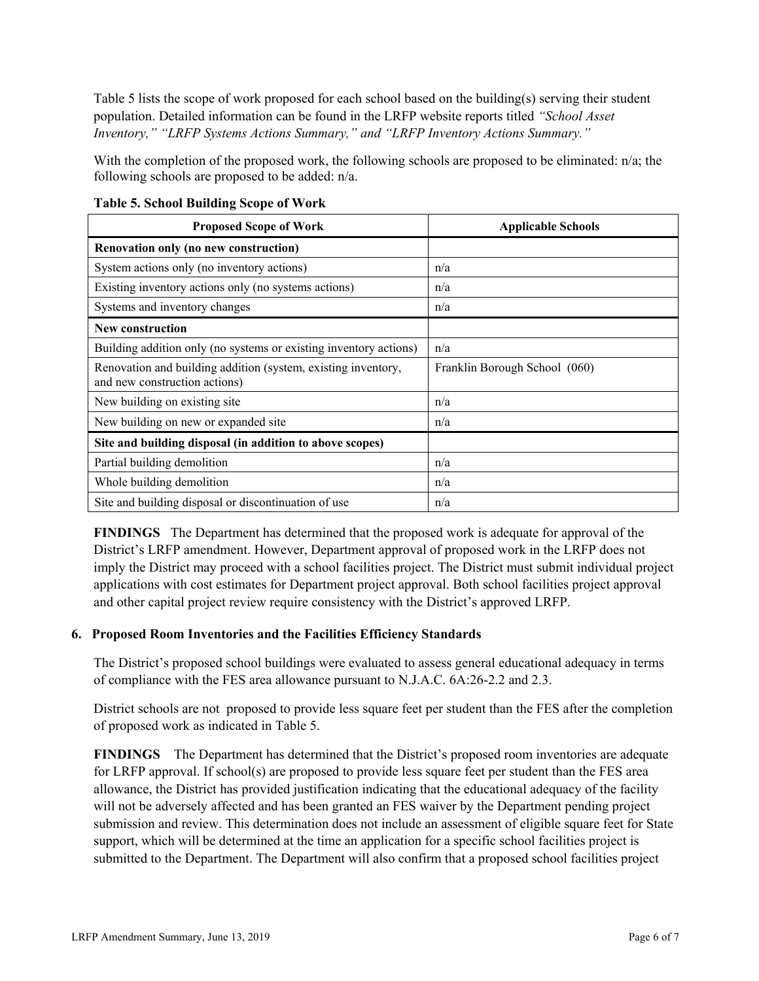Table 5 lists the scope of work proposed for each school based on the building(s) serving their student population. Detailed information can be found in the LRFP website reports titled *"School Asset Inventory," "LRFP Systems Actions Summary," and "LRFP Inventory Actions Summary."*

With the completion of the proposed work, the following schools are proposed to be eliminated: n/a; the following schools are proposed to be added: n/a.

| <b>Proposed Scope of Work</b>                                                                  | <b>Applicable Schools</b>     |
|------------------------------------------------------------------------------------------------|-------------------------------|
| Renovation only (no new construction)                                                          |                               |
| System actions only (no inventory actions)                                                     | n/a                           |
| Existing inventory actions only (no systems actions)                                           | n/a                           |
| Systems and inventory changes                                                                  | n/a                           |
| <b>New construction</b>                                                                        |                               |
| Building addition only (no systems or existing inventory actions)                              | n/a                           |
| Renovation and building addition (system, existing inventory,<br>and new construction actions) | Franklin Borough School (060) |
| New building on existing site                                                                  | n/a                           |
| New building on new or expanded site                                                           | n/a                           |
| Site and building disposal (in addition to above scopes)                                       |                               |
| Partial building demolition                                                                    | n/a                           |
| Whole building demolition                                                                      | n/a                           |
| Site and building disposal or discontinuation of use                                           | n/a                           |

**Table 5. School Building Scope of Work**

**FINDINGS** The Department has determined that the proposed work is adequate for approval of the District's LRFP amendment. However, Department approval of proposed work in the LRFP does not imply the District may proceed with a school facilities project. The District must submit individual project applications with cost estimates for Department project approval. Both school facilities project approval and other capital project review require consistency with the District's approved LRFP.

### **6. Proposed Room Inventories and the Facilities Efficiency Standards**

The District's proposed school buildings were evaluated to assess general educational adequacy in terms of compliance with the FES area allowance pursuant to N.J.A.C. 6A:26-2.2 and 2.3.

District schools are not proposed to provide less square feet per student than the FES after the completion of proposed work as indicated in Table 5.

**FINDINGS** The Department has determined that the District's proposed room inventories are adequate for LRFP approval. If school(s) are proposed to provide less square feet per student than the FES area allowance, the District has provided justification indicating that the educational adequacy of the facility will not be adversely affected and has been granted an FES waiver by the Department pending project submission and review. This determination does not include an assessment of eligible square feet for State support, which will be determined at the time an application for a specific school facilities project is submitted to the Department. The Department will also confirm that a proposed school facilities project